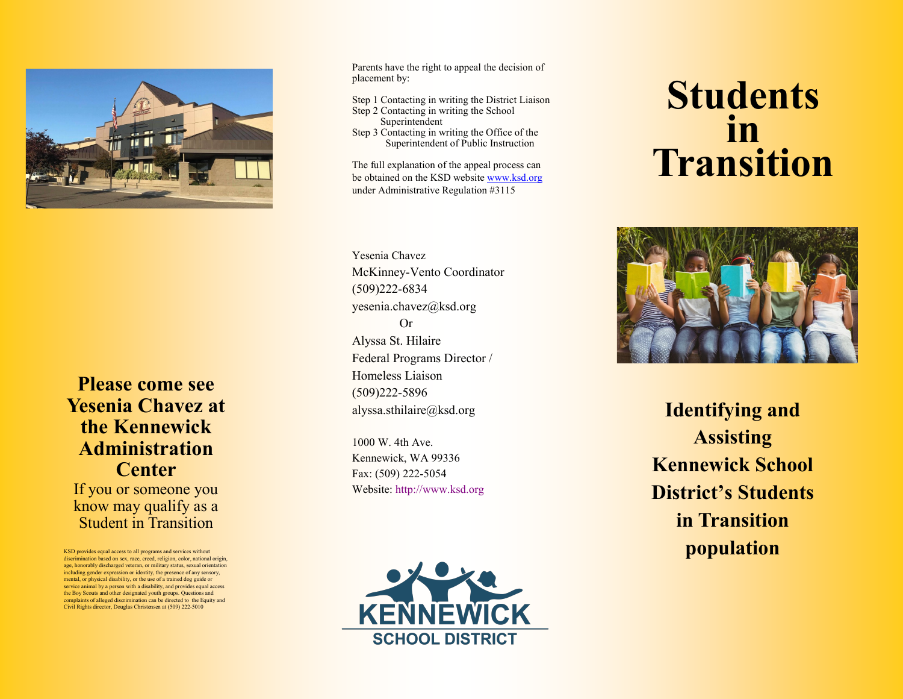

**Please come see Yesenia Chavez at the Kennewick Administration Center**  If you or someone you know may qualify as a Student in Transition

KSD provides equal access to all programs and services without discrimination based on sex, race, creed, religion, color, national origin, age, honorably discharged veteran, or military status, sexual orientation including gender expression or identity, the presence of any sensory, mental, or physical disability, or the use of a trained dog guide or service animal by a person with a disability, and provides equal access the Boy Scouts and other designated youth groups. Questions and complaints of alleged discrimination can be directed to the Equity and Civil Rights director, Douglas Christensen at (509) 222 -5010

Parents have the right to appeal the decision of placement by:

Step 1 Contacting in writing the District Liaison

- Step 2 Contacting in writing the School Superintendent
- Step 3 Contacting in writing the Office of the Superintendent of Public Instruction

The full explanation of the appeal process can be obtained on the KSD website [www.ksd.org](http://www.ksd.org) under Administrative Regulation #3115

Yesenia Chavez McKinney -Vento Coordinator (509)222 -6834 yesenia.chavez@ksd.org Or Alyssa St. Hilaire Federal Programs Director / Homeless Liaison (509)222 -5896 alyssa.sthilaire@ksd.org

1000 W. 4th Ave. Kennewick, WA 99336 Fax: (509) 222 -5054 Website: http://www.ksd.org



## **Students in Transition**



**Identifying and Assisting Kennewick School District 's Students in Transition population**